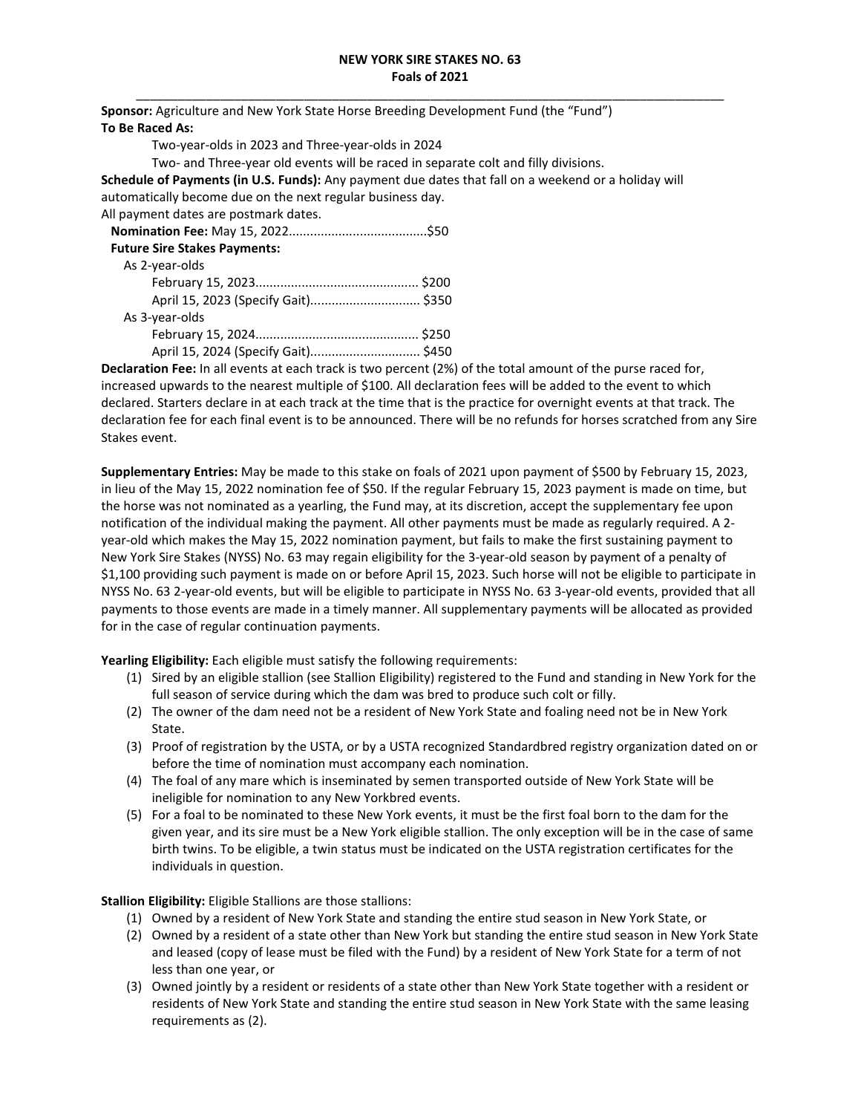**Sponsor:** Agriculture and New York State Horse Breeding Development Fund (the "Fund") **To Be Raced As:**  Two-year-olds in 2023 and Three-year-olds in 2024 Two- and Three-year old events will be raced in separate colt and filly divisions. **Schedule of Payments (in U.S. Funds):** Any payment due dates that fall on a weekend or a holiday will automatically become due on the next regular business day. All payment dates are postmark dates.  **Nomination Fee:** May 15, 2022.......................................\$50  **Future Sire Stakes Payments:**  As 2-year-olds February 15, 2023.............................................. \$200 April 15, 2023 (Specify Gait)............................... \$350 As 3-year-olds February 15, 2024.............................................. \$250

April 15, 2024 (Specify Gait)............................... \$450

**Declaration Fee:** In all events at each track is two percent (2%) of the total amount of the purse raced for, increased upwards to the nearest multiple of \$100. All declaration fees will be added to the event to which declared. Starters declare in at each track at the time that is the practice for overnight events at that track. The declaration fee for each final event is to be announced. There will be no refunds for horses scratched from any Sire Stakes event.

**Supplementary Entries:** May be made to this stake on foals of 2021 upon payment of \$500 by February 15, 2023, in lieu of the May 15, 2022 nomination fee of \$50. If the regular February 15, 2023 payment is made on time, but the horse was not nominated as a yearling, the Fund may, at its discretion, accept the supplementary fee upon notification of the individual making the payment. All other payments must be made as regularly required. A 2 year-old which makes the May 15, 2022 nomination payment, but fails to make the first sustaining payment to New York Sire Stakes (NYSS) No. 63 may regain eligibility for the 3-year-old season by payment of a penalty of \$1,100 providing such payment is made on or before April 15, 2023. Such horse will not be eligible to participate in NYSS No. 63 2-year-old events, but will be eligible to participate in NYSS No. 63 3-year-old events, provided that all payments to those events are made in a timely manner. All supplementary payments will be allocated as provided for in the case of regular continuation payments.

**Yearling Eligibility:** Each eligible must satisfy the following requirements:

- (1) Sired by an eligible stallion (see Stallion Eligibility) registered to the Fund and standing in New York for the full season of service during which the dam was bred to produce such colt or filly.
- (2) The owner of the dam need not be a resident of New York State and foaling need not be in New York State.
- (3) Proof of registration by the USTA, or by a USTA recognized Standardbred registry organization dated on or before the time of nomination must accompany each nomination.
- (4) The foal of any mare which is inseminated by semen transported outside of New York State will be ineligible for nomination to any New Yorkbred events.
- (5) For a foal to be nominated to these New York events, it must be the first foal born to the dam for the given year, and its sire must be a New York eligible stallion. The only exception will be in the case of same birth twins. To be eligible, a twin status must be indicated on the USTA registration certificates for the individuals in question.

**Stallion Eligibility:** Eligible Stallions are those stallions:

- (1) Owned by a resident of New York State and standing the entire stud season in New York State, or
- (2) Owned by a resident of a state other than New York but standing the entire stud season in New York State and leased (copy of lease must be filed with the Fund) by a resident of New York State for a term of not less than one year, or
- (3) Owned jointly by a resident or residents of a state other than New York State together with a resident or residents of New York State and standing the entire stud season in New York State with the same leasing requirements as (2).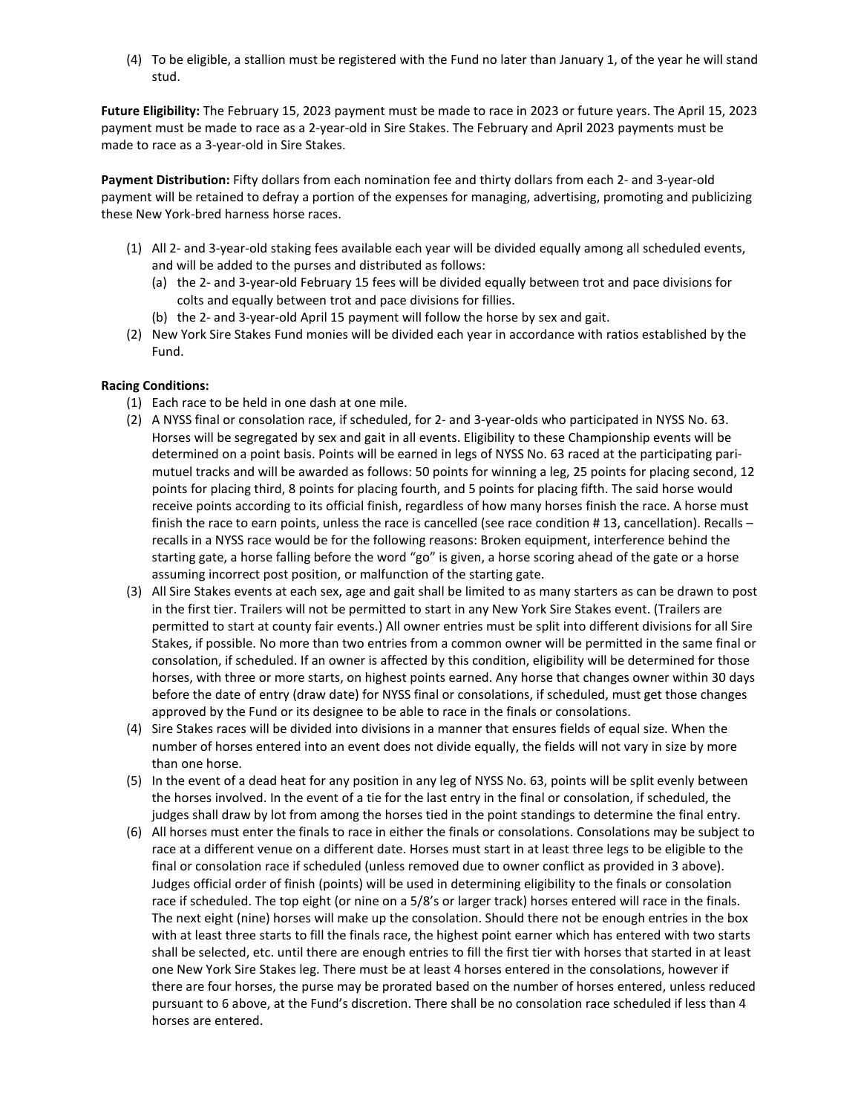(4) To be eligible, a stallion must be registered with the Fund no later than January 1, of the year he will stand stud.

**Future Eligibility:** The February 15, 2023 payment must be made to race in 2023 or future years. The April 15, 2023 payment must be made to race as a 2-year-old in Sire Stakes. The February and April 2023 payments must be made to race as a 3-year-old in Sire Stakes.

**Payment Distribution:** Fifty dollars from each nomination fee and thirty dollars from each 2- and 3-year-old payment will be retained to defray a portion of the expenses for managing, advertising, promoting and publicizing these New York-bred harness horse races.

- (1) All 2- and 3-year-old staking fees available each year will be divided equally among all scheduled events, and will be added to the purses and distributed as follows:
	- (a) the 2- and 3-year-old February 15 fees will be divided equally between trot and pace divisions for colts and equally between trot and pace divisions for fillies.
	- (b) the 2- and 3-year-old April 15 payment will follow the horse by sex and gait.
- (2) New York Sire Stakes Fund monies will be divided each year in accordance with ratios established by the Fund.

## **Racing Conditions:**

- (1) Each race to be held in one dash at one mile.
- (2) A NYSS final or consolation race, if scheduled, for 2- and 3-year-olds who participated in NYSS No. 63. Horses will be segregated by sex and gait in all events. Eligibility to these Championship events will be determined on a point basis. Points will be earned in legs of NYSS No. 63 raced at the participating parimutuel tracks and will be awarded as follows: 50 points for winning a leg, 25 points for placing second, 12 points for placing third, 8 points for placing fourth, and 5 points for placing fifth. The said horse would receive points according to its official finish, regardless of how many horses finish the race. A horse must finish the race to earn points, unless the race is cancelled (see race condition # 13, cancellation). Recalls – recalls in a NYSS race would be for the following reasons: Broken equipment, interference behind the starting gate, a horse falling before the word "go" is given, a horse scoring ahead of the gate or a horse assuming incorrect post position, or malfunction of the starting gate.
- (3) All Sire Stakes events at each sex, age and gait shall be limited to as many starters as can be drawn to post in the first tier. Trailers will not be permitted to start in any New York Sire Stakes event. (Trailers are permitted to start at county fair events.) All owner entries must be split into different divisions for all Sire Stakes, if possible. No more than two entries from a common owner will be permitted in the same final or consolation, if scheduled. If an owner is affected by this condition, eligibility will be determined for those horses, with three or more starts, on highest points earned. Any horse that changes owner within 30 days before the date of entry (draw date) for NYSS final or consolations, if scheduled, must get those changes approved by the Fund or its designee to be able to race in the finals or consolations.
- (4) Sire Stakes races will be divided into divisions in a manner that ensures fields of equal size. When the number of horses entered into an event does not divide equally, the fields will not vary in size by more than one horse.
- (5) In the event of a dead heat for any position in any leg of NYSS No. 63, points will be split evenly between the horses involved. In the event of a tie for the last entry in the final or consolation, if scheduled, the judges shall draw by lot from among the horses tied in the point standings to determine the final entry.
- (6) All horses must enter the finals to race in either the finals or consolations. Consolations may be subject to race at a different venue on a different date. Horses must start in at least three legs to be eligible to the final or consolation race if scheduled (unless removed due to owner conflict as provided in 3 above). Judges official order of finish (points) will be used in determining eligibility to the finals or consolation race if scheduled. The top eight (or nine on a 5/8's or larger track) horses entered will race in the finals. The next eight (nine) horses will make up the consolation. Should there not be enough entries in the box with at least three starts to fill the finals race, the highest point earner which has entered with two starts shall be selected, etc. until there are enough entries to fill the first tier with horses that started in at least one New York Sire Stakes leg. There must be at least 4 horses entered in the consolations, however if there are four horses, the purse may be prorated based on the number of horses entered, unless reduced pursuant to 6 above, at the Fund's discretion. There shall be no consolation race scheduled if less than 4 horses are entered.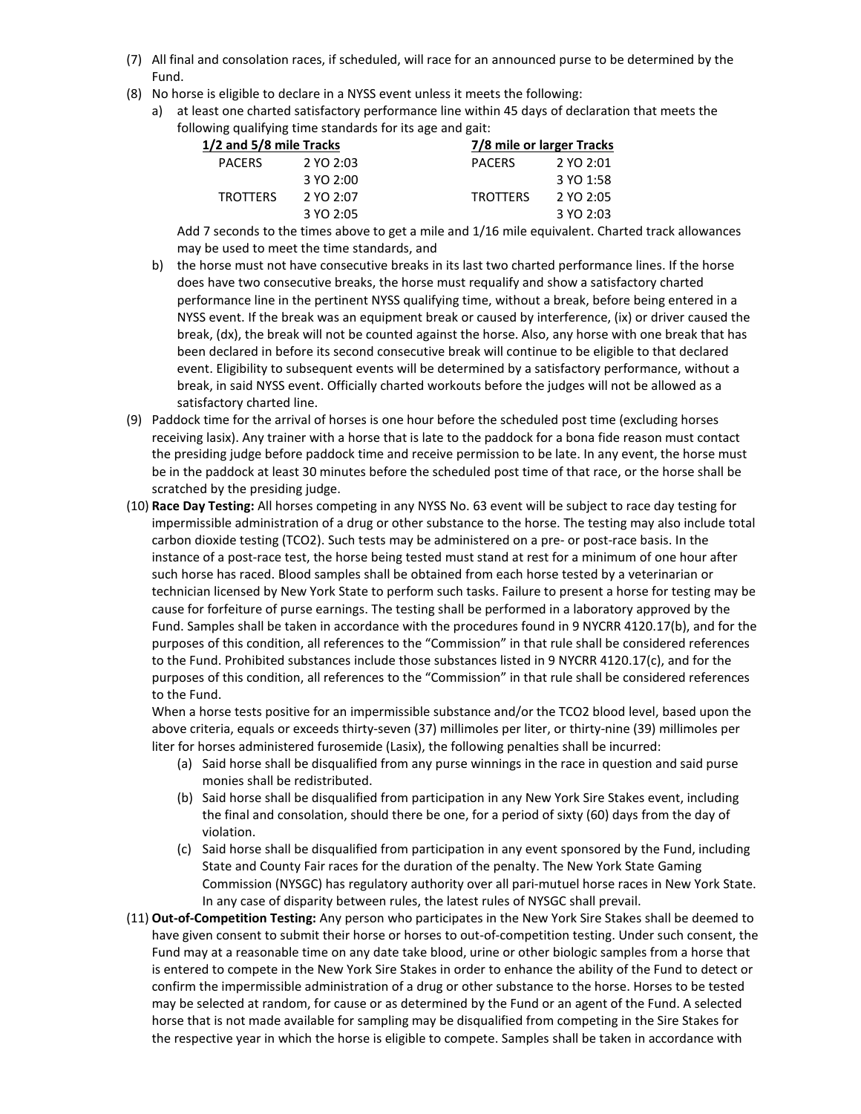- (7) All final and consolation races, if scheduled, will race for an announced purse to be determined by the Fund.
- (8) No horse is eligible to declare in a NYSS event unless it meets the following:
	- a) at least one charted satisfactory performance line within 45 days of declaration that meets the following qualifying time standards for its age and gait:

|                 | 7/8 mile or larger Tracks |
|-----------------|---------------------------|
| <b>PACERS</b>   | 2 YO 2:01                 |
|                 | 3 YO 1:58                 |
| <b>TROTTERS</b> | 2 YO 2:05                 |
|                 | 3 YO 2:03                 |
|                 |                           |

Add 7 seconds to the times above to get a mile and 1/16 mile equivalent. Charted track allowances may be used to meet the time standards, and

- b) the horse must not have consecutive breaks in its last two charted performance lines. If the horse does have two consecutive breaks, the horse must requalify and show a satisfactory charted performance line in the pertinent NYSS qualifying time, without a break, before being entered in a NYSS event. If the break was an equipment break or caused by interference, (ix) or driver caused the break, (dx), the break will not be counted against the horse. Also, any horse with one break that has been declared in before its second consecutive break will continue to be eligible to that declared event. Eligibility to subsequent events will be determined by a satisfactory performance, without a break, in said NYSS event. Officially charted workouts before the judges will not be allowed as a satisfactory charted line.
- (9) Paddock time for the arrival of horses is one hour before the scheduled post time (excluding horses receiving lasix). Any trainer with a horse that is late to the paddock for a bona fide reason must contact the presiding judge before paddock time and receive permission to be late. In any event, the horse must be in the paddock at least 30 minutes before the scheduled post time of that race, or the horse shall be scratched by the presiding judge.
- (10) **Race Day Testing:** All horses competing in any NYSS No. 63 event will be subject to race day testing for impermissible administration of a drug or other substance to the horse. The testing may also include total carbon dioxide testing (TCO2). Such tests may be administered on a pre- or post-race basis. In the instance of a post-race test, the horse being tested must stand at rest for a minimum of one hour after such horse has raced. Blood samples shall be obtained from each horse tested by a veterinarian or technician licensed by New York State to perform such tasks. Failure to present a horse for testing may be cause for forfeiture of purse earnings. The testing shall be performed in a laboratory approved by the Fund. Samples shall be taken in accordance with the procedures found in 9 NYCRR 4120.17(b), and for the purposes of this condition, all references to the "Commission" in that rule shall be considered references to the Fund. Prohibited substances include those substances listed in 9 NYCRR 4120.17(c), and for the purposes of this condition, all references to the "Commission" in that rule shall be considered references to the Fund.

When a horse tests positive for an impermissible substance and/or the TCO2 blood level, based upon the above criteria, equals or exceeds thirty-seven (37) millimoles per liter, or thirty-nine (39) millimoles per liter for horses administered furosemide (Lasix), the following penalties shall be incurred:

- (a) Said horse shall be disqualified from any purse winnings in the race in question and said purse monies shall be redistributed.
- (b) Said horse shall be disqualified from participation in any New York Sire Stakes event, including the final and consolation, should there be one, for a period of sixty (60) days from the day of violation.
- (c) Said horse shall be disqualified from participation in any event sponsored by the Fund, including State and County Fair races for the duration of the penalty. The New York State Gaming Commission (NYSGC) has regulatory authority over all pari-mutuel horse races in New York State. In any case of disparity between rules, the latest rules of NYSGC shall prevail.
- (11) **Out-of-Competition Testing:** Any person who participates in the New York Sire Stakes shall be deemed to have given consent to submit their horse or horses to out-of-competition testing. Under such consent, the Fund may at a reasonable time on any date take blood, urine or other biologic samples from a horse that is entered to compete in the New York Sire Stakes in order to enhance the ability of the Fund to detect or confirm the impermissible administration of a drug or other substance to the horse. Horses to be tested may be selected at random, for cause or as determined by the Fund or an agent of the Fund. A selected horse that is not made available for sampling may be disqualified from competing in the Sire Stakes for the respective year in which the horse is eligible to compete. Samples shall be taken in accordance with